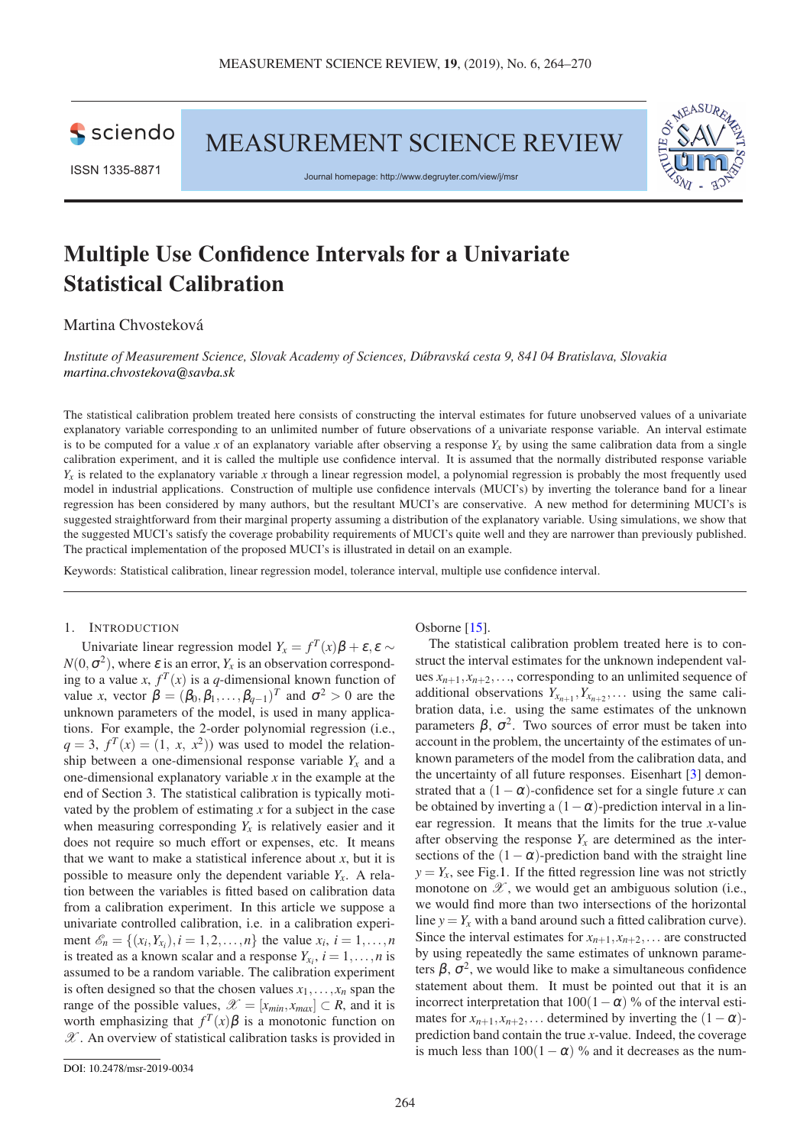

MEASUREMENT SCIENCE REVIEW



ISSN 1335-8871

Journal homepage: http://www.degruyter.com/view/j/msr

# **Multiple Use Confidence Intervals for a Univariate Statistical Calibration**

## Martina Chvosteková

*Institute of Measurement Science, Slovak Academy of Sciences, Dúbravská cesta 9, 841 04 Bratislava, Slovakia [martina.chvostekova@savba.sk](mailto:martina.chvostekova@savba.sk)*

The statistical calibration problem treated here consists of constructing the interval estimates for future unobserved values of a univariate explanatory variable corresponding to an unlimited number of future observations of a univariate response variable. An interval estimate is to be computed for a value *x* of an explanatory variable after observing a response  $Y_x$  by using the same calibration data from a single calibration experiment, and it is called the multiple use confidence interval. It is assumed that the normally distributed response variable  $Y_x$  is related to the explanatory variable *x* through a linear regression model, a polynomial regression is probably the most frequently used model in industrial applications. Construction of multiple use confidence intervals (MUCI's) by inverting the tolerance band for a linear regression has been considered by many authors, but the resultant MUCI's are conservative. A new method for determining MUCI's is suggested straightforward from their marginal property assuming a distribution of the explanatory variable. Using simulations, we show that the suggested MUCI's satisfy the coverage probability requirements of MUCI's quite well and they are narrower than previously published. The practical implementation of the proposed MUCI's is illustrated in detail on an example.

Keywords: Statistical calibration, linear regression model, tolerance interval, multiple use confidence interval.

## 1. INTRODUCTION

Univariate linear regression model  $Y_x = f^T(x)\beta + \varepsilon, \varepsilon \sim$  $N(0, \sigma^2)$ , where  $\varepsilon$  is an error,  $Y_x$  is an observation corresponding to a value *x*,  $f^T(x)$  is a *q*-dimensional known function of value *x*, vector  $\beta = (\beta_0, \beta_1, \dots, \beta_{q-1})^T$  and  $\sigma^2 > 0$  are the unknown parameters of the model, is used in many applications. For example, the 2-order polynomial regression (i.e.,  $q = 3$ ,  $f<sup>T</sup>(x) = (1, x, x<sup>2</sup>)$  was used to model the relationship between a one-dimensional response variable  $Y_x$  and a one-dimensional explanatory variable *x* in the example at the end of Section 3. The statistical calibration is typically motivated by the problem of estimating *x* for a subject in the case when measuring corresponding  $Y_x$  is relatively easier and it does not require so much effort or expenses, etc. It means that we want to make a statistical inference about  $x$ , but it is possible to measure only the dependent variable  $Y_x$ . A relation between the variables is fitted based on calibration data from a calibration experiment. In this article we suppose a univariate controlled calibration, i.e. in a calibration experiment  $\mathscr{E}_n = \{(x_i, Y_{x_i}), i = 1, 2, ..., n\}$  the value  $x_i, i = 1, ..., n$ is treated as a known scalar and a response  $Y_{x_i}$ ,  $i = 1, \ldots, n$  is assumed to be a random variable. The calibration experiment is often designed so that the chosen values  $x_1, \ldots, x_n$  span the range of the possible values,  $\mathscr{X} = [x_{min}, x_{max}] \subset R$ , and it is worth emphasizing that  $f^T(x)\beta$  is a monotonic function on  $\mathscr X$ . An overview of statistical calibration tasks is provided in

Osborne [\[15\]](#page-6-0).

The statistical calibration problem treated here is to construct the interval estimates for the unknown independent values  $x_{n+1}, x_{n+2}, \ldots$ , corresponding to an unlimited sequence of additional observations  $Y_{x_{n+1}}, Y_{x_{n+2}}, \ldots$  using the same calibration data, i.e. using the same estimates of the unknown parameters  $\beta$ ,  $\sigma^2$ . Two sources of error must be taken into account in the problem, the uncertainty of the estimates of unknown parameters of the model from the calibration data, and the uncertainty of all future responses. Eisenhart [\[3\]](#page-5-0) demonstrated that a  $(1 - \alpha)$ -confidence set for a single future *x* can be obtained by inverting a  $(1-\alpha)$ -prediction interval in a linear regression. It means that the limits for the true *x*-value after observing the response  $Y_x$  are determined as the intersections of the  $(1-\alpha)$ -prediction band with the straight line  $y = Y_x$ , see Fig[.1.](#page-1-0) If the fitted regression line was not strictly monotone on  $\mathscr X$ , we would get an ambiguous solution (i.e., we would find more than two intersections of the horizontal line  $y = Y_x$  with a band around such a fitted calibration curve). Since the interval estimates for  $x_{n+1}, x_{n+2}, \ldots$  are constructed by using repeatedly the same estimates of unknown parameters  $\beta$ ,  $\sigma^2$ , we would like to make a simultaneous confidence statement about them. It must be pointed out that it is an incorrect interpretation that  $100(1-\alpha)$  % of the interval estimates for  $x_{n+1}, x_{n+2}, \ldots$  determined by inverting the  $(1-\alpha)$ prediction band contain the true *x*-value. Indeed, the coverage is much less than  $100(1-\alpha)$  % and it decreases as the num-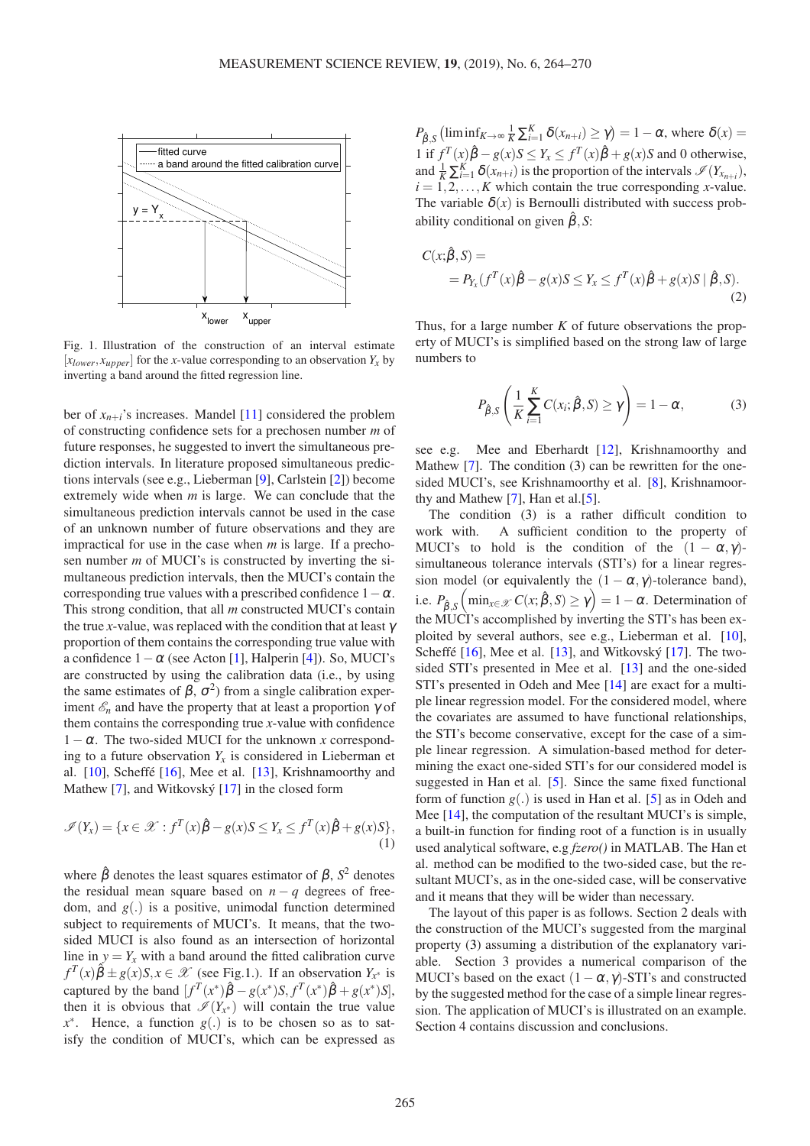<span id="page-1-0"></span>

Fig. 1. Illustration of the construction of an interval estimate  $[x_{lower}, x_{upper}]$  for the *x*-value corresponding to an observation  $Y_x$  by inverting a band around the fitted regression line.

ber of  $x_{n+i}$ 's increases. Mandel [\[11\]](#page-5-1) considered the problem of constructing confidence sets for a prechosen number *m* of future responses, he suggested to invert the simultaneous prediction intervals. In literature proposed simultaneous predictions intervals (see e.g., Lieberman [\[9\]](#page-5-2), Carlstein [\[2\]](#page-5-3)) become extremely wide when *m* is large. We can conclude that the simultaneous prediction intervals cannot be used in the case of an unknown number of future observations and they are impractical for use in the case when *m* is large. If a prechosen number *m* of MUCI's is constructed by inverting the simultaneous prediction intervals, then the MUCI's contain the corresponding true values with a prescribed confidence  $1-\alpha$ . This strong condition, that all *m* constructed MUCI's contain the true *x*-value, was replaced with the condition that at least  $\gamma$ proportion of them contains the corresponding true value with a confidence  $1 - \alpha$  (see Acton [\[1\]](#page-5-4), Halperin [\[4\]](#page-5-5)). So, MUCI's are constructed by using the calibration data (i.e., by using the same estimates of  $\beta$ ,  $\sigma^2$ ) from a single calibration experiment  $\mathcal{E}_n$  and have the property that at least a proportion  $\gamma$  of them contains the corresponding true *x*-value with confidence  $1-\alpha$ . The two-sided MUCI for the unknown *x* corresponding to a future observation  $Y_x$  is considered in Lieberman et al. [\[10\]](#page-5-6), Scheffé [\[16\]](#page-6-1), Mee et al. [\[13\]](#page-6-2), Krishnamoorthy and Mathew [\[7\]](#page-5-7), and Witkovský [\[17\]](#page-6-3) in the closed form

$$
\mathscr{I}(Y_x) = \{ x \in \mathscr{X} : f^T(x)\hat{\beta} - g(x)S \le Y_x \le f^T(x)\hat{\beta} + g(x)S \},\tag{1}
$$

where  $\hat{\beta}$  denotes the least squares estimator of  $\beta$ ,  $S^2$  denotes the residual mean square based on  $n - q$  degrees of freedom, and *g*(.) is a positive, unimodal function determined subject to requirements of MUCI's. It means, that the twosided MUCI is also found as an intersection of horizontal line in  $y = Y_x$  with a band around the fitted calibration curve  $f^T(x)\hat{\beta} \pm g(x)S, x \in \mathcal{X}$  (see Fig[.1.](#page-1-0)). If an observation  $Y_{x^*}$  is captured by the band  $[f^T(x^*)\hat{\beta} - g(x^*)S, f^T(x^*)\hat{\beta} + g(x^*)S]$ , then it is obvious that  $\mathscr{I}(Y_{x^*})$  will contain the true value  $x^*$ . Hence, a function  $g(.)$  is to be chosen so as to satisfy the condition of MUCI's, which can be expressed as

 $P_{\hat{\beta},S}$  (liminf<sub>*K*→∞</sub>  $\frac{1}{K} \sum_{i=1}^{K} \delta(x_{n+i}) \ge \gamma$ ) = 1 – α, where  $\delta(x)$  = 1 if  $f^T(x)\hat{\beta} - g(x)S \le Y_x \le f^T(x)\hat{\beta} + g(x)S$  and 0 otherwise, and  $\frac{1}{K} \sum_{i=1}^{K} \delta(x_{n+i})$  is the proportion of the intervals  $\mathcal{I}(Y_{x_{n+i}})$ ,  $i = 1, 2, \ldots, K$  which contain the true corresponding *x*-value. The variable  $\delta(x)$  is Bernoulli distributed with success probability conditional on given  $\hat{\beta}$ , *S*:

<span id="page-1-2"></span>
$$
C(x; \hat{\beta}, S) =
$$
  
=  $P_{Y_x}(f^T(x)\hat{\beta} - g(x)S \le Y_x \le f^T(x)\hat{\beta} + g(x)S | \hat{\beta}, S).$  (2)

Thus, for a large number *K* of future observations the property of MUCI's is simplified based on the strong law of large numbers to

<span id="page-1-1"></span>
$$
P_{\hat{\beta},S} \left( \frac{1}{K} \sum_{i=1}^{K} C(x_i; \hat{\beta}, S) \ge \gamma \right) = 1 - \alpha, \tag{3}
$$

see e.g. Mee and Eberhardt [\[12\]](#page-5-8), Krishnamoorthy and Mathew [\[7\]](#page-5-7). The condition [\(3\)](#page-1-1) can be rewritten for the onesided MUCI's, see Krishnamoorthy et al. [\[8\]](#page-5-9), Krishnamoorthy and Mathew  $[7]$ , Han et al. $[5]$ .

The condition [\(3\)](#page-1-1) is a rather difficult condition to work with. A sufficient condition to the property of MUCI's to hold is the condition of the  $(1 - \alpha, \gamma)$ simultaneous tolerance intervals (STI's) for a linear regression model (or equivalently the  $(1 - \alpha, \gamma)$ -tolerance band), i.e.  $P_{\hat{\beta},S}$   $\left(\min_{x \in \mathcal{X}} C(x;\hat{\beta},S) \ge \gamma\right) = 1 - \alpha$ . Determination of the MUCI's accomplished by inverting the STI's has been exploited by several authors, see e.g., Lieberman et al. [\[10\]](#page-5-6), Scheffé [\[16\]](#page-6-1), Mee et al. [\[13\]](#page-6-2), and Witkovský [\[17\]](#page-6-3). The twosided STI's presented in Mee et al. [\[13\]](#page-6-2) and the one-sided STI's presented in Odeh and Mee [\[14\]](#page-6-4) are exact for a multiple linear regression model. For the considered model, where the covariates are assumed to have functional relationships, the STI's become conservative, except for the case of a simple linear regression. A simulation-based method for determining the exact one-sided STI's for our considered model is suggested in Han et al. [\[5\]](#page-5-10). Since the same fixed functional form of function  $g(.)$  is used in Han et al. [\[5\]](#page-5-10) as in Odeh and Mee [\[14\]](#page-6-4), the computation of the resultant MUCI's is simple, a built-in function for finding root of a function is in usually used analytical software, e.g *fzero()* in MATLAB. The Han et al. method can be modified to the two-sided case, but the resultant MUCI's, as in the one-sided case, will be conservative and it means that they will be wider than necessary.

The layout of this paper is as follows. Section 2 deals with the construction of the MUCI's suggested from the marginal property [\(3\)](#page-1-1) assuming a distribution of the explanatory variable. Section 3 provides a numerical comparison of the MUCI's based on the exact  $(1 - \alpha, \gamma)$ -STI's and constructed by the suggested method for the case of a simple linear regression. The application of MUCI's is illustrated on an example. Section 4 contains discussion and conclusions.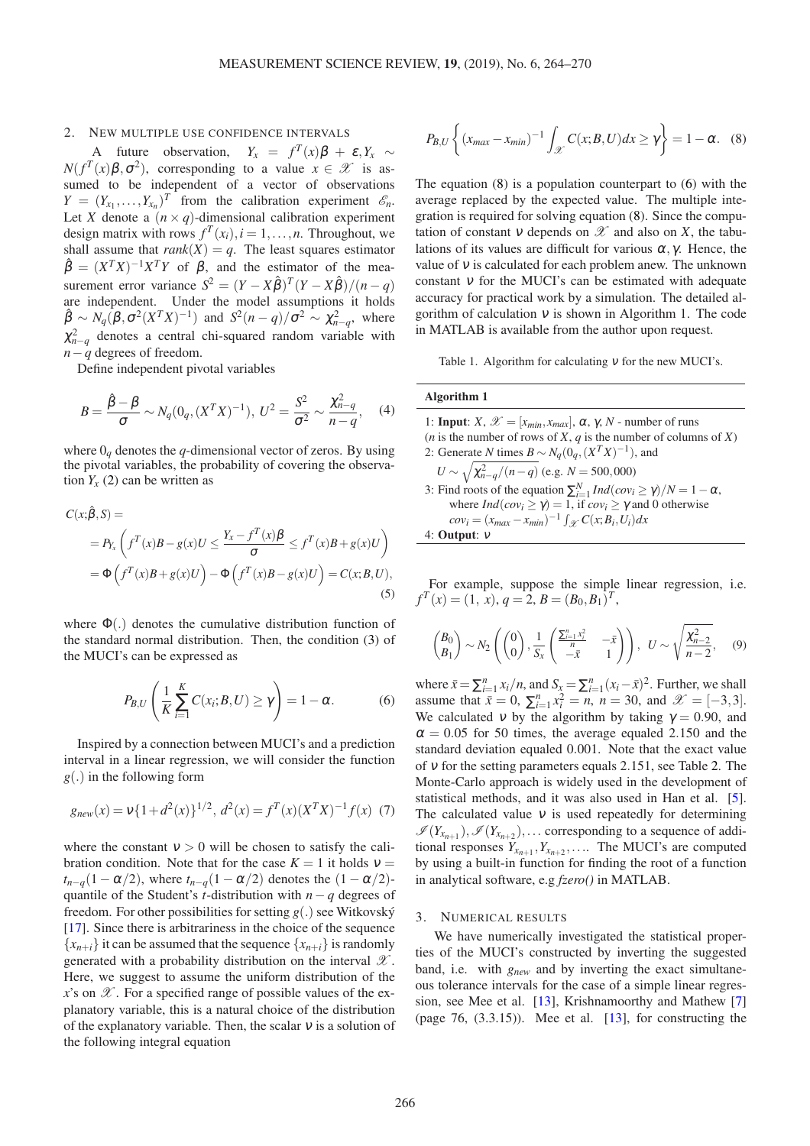## 2. NEW MULTIPLE USE CONFIDENCE INTERVALS

A future observation,  $Y_x = f^T(x)\beta + \varepsilon, Y_x \sim$  $N(f^T(x)\beta, \sigma^2)$ , corresponding to a value  $x \in \mathcal{X}$  is assumed to be independent of a vector of observations  $Y = (Y_{x_1}, \ldots, Y_{x_n})^T$  from the calibration experiment  $\mathcal{E}_n$ . Let *X* denote a  $(n \times q)$ -dimensional calibration experiment design matrix with rows  $f^T(x_i)$ ,  $i = 1, ..., n$ . Throughout, we shall assume that  $rank(X) = q$ . The least squares estimator  $\hat{\beta} = (X^T X)^{-1} X^T Y$  of  $\beta$ , and the estimator of the measurement error variance  $S^2 = (Y - X\hat{\beta})^T (Y - X\hat{\beta}) / (n - q)$ are independent. Under the model assumptions it holds  $\hat{\beta} \sim N_q(\beta, \sigma^2 (X^T X)^{-1})$  and  $S^2(n-q)/\sigma^2 \sim \chi^2_{n-q}$ , where  $\chi^2_{n-q}$  denotes a central chi-squared random variable with *n*− $q$ <sup>*d*</sup> degrees of freedom.

Define independent pivotal variables

$$
B = \frac{\hat{\beta} - \beta}{\sigma} \sim N_q(0_q, (X^T X)^{-1}), \ U^2 = \frac{S^2}{\sigma^2} \sim \frac{\chi_{n-q}^2}{n-q}, \quad (4)
$$

where  $0<sub>q</sub>$  denotes the *q*-dimensional vector of zeros. By using the pivotal variables, the probability of covering the observation  $Y_x(2)$  $Y_x(2)$  can be written as

$$
C(x; \hat{\beta}, S) =
$$
  
=  $P_{Y_x}$   $\left( f^T(x)B - g(x)U \le \frac{Y_x - f^T(x)\beta}{\sigma} \le f^T(x)B + g(x)U \right)$   
=  $\Phi \left( f^T(x)B + g(x)U \right) - \Phi \left( f^T(x)B - g(x)U \right) = C(x; B, U),$  (5)

where  $\Phi(.)$  denotes the cumulative distribution function of the standard normal distribution. Then, the condition [\(3\)](#page-1-1) of the MUCI's can be expressed as

<span id="page-2-1"></span>
$$
P_{B,U}\left(\frac{1}{K}\sum_{i=1}^{K}C(x_i;B,U)\geq\gamma\right)=1-\alpha.\tag{6}
$$

Inspired by a connection between MUCI's and a prediction interval in a linear regression, we will consider the function *g*(.) in the following form

$$
g_{new}(x) = v\{1 + d^2(x)\}^{1/2}, d^2(x) = f^T(x)(X^T X)^{-1} f(x)
$$
 (7)

where the constant  $v > 0$  will be chosen to satisfy the calibration condition. Note that for the case  $K = 1$  it holds  $v =$  $t_{n-q}(1-\alpha/2)$ , where  $t_{n-q}(1-\alpha/2)$  denotes the  $(1-\alpha/2)$ quantile of the Student's *t*-distribution with *n* − *q* degrees of freedom. For other possibilities for setting  $g(.)$  see Witkovský [\[17\]](#page-6-3). Since there is arbitrariness in the choice of the sequence  ${x_{n+i}}$  it can be assumed that the sequence  ${x_{n+i}}$  is randomly generated with a probability distribution on the interval  $\mathscr X$ . Here, we suggest to assume the uniform distribution of the  $x$ 's on  $\mathscr X$ . For a specified range of possible values of the explanatory variable, this is a natural choice of the distribution of the explanatory variable. Then, the scalar  $v$  is a solution of the following integral equation

$$
P_{B,U}\left\{(x_{max}-x_{min})^{-1}\int_{\mathscr{X}}C(x;B,U)dx\geq\gamma\right\}=1-\alpha.
$$
 (8)

The equation [\(8\)](#page-2-0) is a population counterpart to [\(6\)](#page-2-1) with the average replaced by the expected value. The multiple integration is required for solving equation [\(8\)](#page-2-0). Since the computation of constant v depends on  $\mathscr X$  and also on X, the tabulations of its values are difficult for various  $\alpha$ ,  $\gamma$ . Hence, the value of  $v$  is calculated for each problem anew. The unknown constant  $v$  for the MUCI's can be estimated with adequate accuracy for practical work by a simulation. The detailed algorithm of calculation  $v$  is shown in Algorithm 1. The code in MATLAB is available from the author upon request.

Table 1. Algorithm for calculating  $v$  for the new MUCI's.

## **Algorithm 1**

| 1: <b>Input</b> : $X, \mathcal{X} = [x_{min}, x_{max}], \alpha, \gamma, N$ - number of runs |
|---------------------------------------------------------------------------------------------|
| ( <i>n</i> is the number of rows of X, $q$ is the number of columns of X)                   |
| 2: Generate N times $B \sim N_a(0_a, (X^TX)^{-1})$ , and                                    |
| $U \sim \sqrt{\chi_{n-q}^2/(n-q)}$ (e.g. $N = 500,000$ )                                    |
| 3: Find roots of the equation $\sum_{i=1}^{N} Ind(cov_i \ge \gamma)/N = 1 - \alpha$ ,       |
| where $Ind(cov_i \ge \gamma) = 1$ , if $cov_i \ge \gamma$ and 0 otherwise                   |
| $cov_i = (x_{max} - x_{min})^{-1} \int_{\mathcal{X}} C(x; B_i, U_i) dx$                     |
| 4: Output: $\nu$                                                                            |

For example, suppose the simple linear regression, i.e.  $f^T(x) = (1, x), q = 2, B = (B_0, B_1)^T,$ 

<span id="page-2-2"></span>
$$
\begin{pmatrix} B_0 \\ B_1 \end{pmatrix} \sim N_2 \left( \begin{pmatrix} 0 \\ 0 \end{pmatrix}, \frac{1}{S_x} \begin{pmatrix} \frac{\sum_{i=1}^n x_i^2}{n} & -\bar{x} \\ -\bar{x} & 1 \end{pmatrix} \right), \quad U \sim \sqrt{\frac{\chi_{n-2}^2}{n-2}}, \quad (9)
$$

where  $\bar{x} = \sum_{i=1}^{n} x_i/n$ , and  $S_x = \sum_{i=1}^{n} (x_i - \bar{x})^2$ . Further, we shall assume that  $\bar{x} = 0$ ,  $\sum_{i=1}^{n} x_i^2 = n$ ,  $n = 30$ , and  $\mathcal{X} = [-3, 3]$ . We calculated v by the algorithm by taking  $\gamma = 0.90$ , and  $\alpha = 0.05$  for 50 times, the average equaled 2.150 and the standard deviation equaled 0.001. Note that the exact value of <sup>ν</sup> for the setting parameters equals 2.151, see Table [2.](#page-3-0) The Monte-Carlo approach is widely used in the development of statistical methods, and it was also used in Han et al. [\[5\]](#page-5-10). The calculated value  $v$  is used repeatedly for determining  $\mathscr{I}(Y_{x_{n+1}}), \mathscr{I}(Y_{x_{n+2}}), \ldots$  corresponding to a sequence of additional responses  $Y_{x_{n+1}}, Y_{x_{n+2}}, \ldots$  The MUCI's are computed by using a built-in function for finding the root of a function in analytical software, e.g *fzero()* in MATLAB.

## 3. NUMERICAL RESULTS

<span id="page-2-0"></span>We have numerically investigated the statistical properties of the MUCI's constructed by inverting the suggested band, i.e. with *gnew* and by inverting the exact simultaneous tolerance intervals for the case of a simple linear regression, see Mee et al. [\[13\]](#page-6-2), Krishnamoorthy and Mathew [\[7\]](#page-5-7) (page 76,  $(3.3.15)$ ). Mee et al.  $[13]$ , for constructing the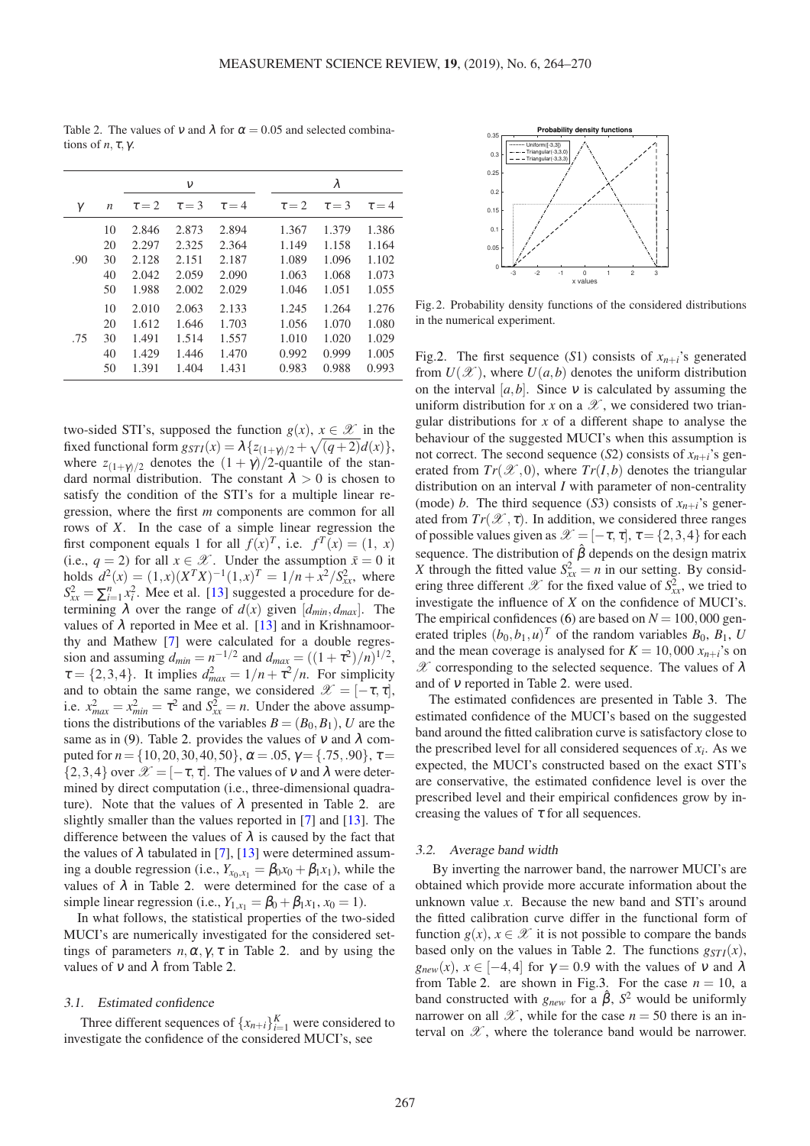|     |                  |            | ν          |            |            | λ          |            |
|-----|------------------|------------|------------|------------|------------|------------|------------|
| γ   | $\boldsymbol{n}$ | $\tau = 2$ | $\tau = 3$ | $\tau = 4$ | $\tau = 2$ | $\tau = 3$ | $\tau = 4$ |
|     | 10               | 2.846      | 2.873      | 2.894      | 1.367      | 1.379      | 1.386      |
|     | 20               | 2.297      | 2.325      | 2.364      | 1.149      | 1.158      | 1.164      |
| .90 | 30               | 2.128      | 2.151      | 2.187      | 1.089      | 1.096      | 1.102      |
|     | 40               | 2.042      | 2.059      | 2.090      | 1.063      | 1.068      | 1.073      |
|     | 50               | 1.988      | 2.002      | 2.029      | 1.046      | 1.051      | 1.055      |
|     | 10               | 2.010      | 2.063      | 2.133      | 1.245      | 1.264      | 1.276      |
|     | 20               | 1.612      | 1.646      | 1.703      | 1.056      | 1.070      | 1.080      |
| .75 | 30               | 1.491      | 1.514      | 1.557      | 1.010      | 1.020      | 1.029      |
|     | 40               | 1.429      | 1.446      | 1.470      | 0.992      | 0.999      | 1.005      |
|     | 50               | 1.391      | 1.404      | 1.431      | 0.983      | 0.988      | 0.993      |

<span id="page-3-0"></span>Table 2. The values of v and  $\lambda$  for  $\alpha = 0.05$  and selected combinations of  $n, \tau, \gamma$ .

two-sided STI's, supposed the function  $g(x)$ ,  $x \in \mathcal{X}$  in the fixed functional form  $g_{STI}(x) = \lambda \{z_{(1+\gamma)/2} + \sqrt{(q+2)}d(x)\},$ where  $z_{(1+\gamma)/2}$  denotes the  $(1+\gamma)/2$ -quantile of the standard normal distribution. The constant  $\lambda > 0$  is chosen to satisfy the condition of the STI's for a multiple linear regression, where the first *m* components are common for all rows of *X*. In the case of a simple linear regression the first component equals 1 for all  $f(x)^T$ , i.e.  $f^T(x) = (1, x)$ (i.e.,  $q = 2$ ) for all  $x \in \mathcal{X}$ . Under the assumption  $\bar{x} = 0$  it holds  $d^2(x) = (1, x)(X^T X)^{-1}(1, x)^T = 1/n + x^2/S_{xx}^2$ , where  $S_{xx}^2 = \sum_{i=1}^n x_i^2$ . Mee et al. [\[13\]](#page-6-2) suggested a procedure for determining  $\lambda$  over the range of  $d(x)$  given  $[d_{min}, d_{max}]$ . The values of  $\lambda$  reported in Mee et al. [\[13\]](#page-6-2) and in Krishnamoorthy and Mathew [\[7\]](#page-5-7) were calculated for a double regression and assuming  $d_{min} = n^{-1/2}$  and  $d_{max} = ((1 + \tau^2)/n)^{1/2}$ ,  $\tau = \{2, 3, 4\}$ . It implies  $d_{max}^2 = 1/n + \tau^2/n$ . For simplicity and to obtain the same range, we considered  $\mathscr{X} = [-\tau, \tau]$ , i.e.  $x_{max}^2 = x_{min}^2 = \tau^2$  and  $S_{xx}^2 = n$ . Under the above assumptions the distributions of the variables  $B = (B_0, B_1)$ , *U* are the same as in [\(9\)](#page-2-2). Table [2.](#page-3-0) provides the values of  $v$  and  $\lambda$  computed for  $n = \{10, 20, 30, 40, 50\}, \alpha = .05, \gamma = \{.75, .90\}, \tau =$  $\{2,3,4\}$  over  $\mathcal{X} = [-\tau, \tau]$ . The values of v and  $\lambda$  were determined by direct computation (i.e., three-dimensional quadrature). Note that the values of  $\lambda$  presented in Table [2.](#page-3-0) are slightly smaller than the values reported in [\[7\]](#page-5-7) and [\[13\]](#page-6-2). The difference between the values of  $\lambda$  is caused by the fact that the values of  $\lambda$  tabulated in [\[7\]](#page-5-7), [\[13\]](#page-6-2) were determined assuming a double regression (i.e.,  $Y_{x_0,x_1} = \beta_0 x_0 + \beta_1 x_1$ ), while the values of  $\lambda$  in Table [2.](#page-3-0) were determined for the case of a simple linear regression (i.e.,  $Y_{1,x_1} = \beta_0 + \beta_1 x_1$ ,  $x_0 = 1$ ).

In what follows, the statistical properties of the two-sided MUCI's are numerically investigated for the considered settings of parameters  $n, \alpha, \gamma, \tau$  in Table [2.](#page-3-0) and by using the values of  $\nu$  and  $\lambda$  from Table [2.](#page-3-0)

## 3.1. Estimated confidence

Three different sequences of  $\{x_{n+i}\}_{i=1}^K$  were considered to investigate the confidence of the considered MUCI's, see

<span id="page-3-1"></span>

Fig. 2. Probability density functions of the considered distributions in the numerical experiment.

Fig[.2.](#page-3-1) The first sequence (S1) consists of  $x_{n+i}$ 's generated from  $U(\mathcal{X})$ , where  $U(a,b)$  denotes the uniform distribution on the interval  $[a,b]$ . Since  $v$  is calculated by assuming the uniform distribution for *x* on a  $\mathscr X$ , we considered two triangular distributions for *x* of a different shape to analyse the behaviour of the suggested MUCI's when this assumption is not correct. The second sequence (*S*2) consists of  $x_{n+i}$ 's generated from  $Tr(\mathcal{X}, 0)$ , where  $Tr(I, b)$  denotes the triangular distribution on an interval *I* with parameter of non-centrality (mode) *b*. The third sequence (*S3*) consists of  $x_{n+i}$ 's generated from  $Tr(\mathscr{X}, \tau)$ . In addition, we considered three ranges of possible values given as  $\mathcal{X} = [-\tau, \tau], \tau = \{2, 3, 4\}$  for each sequence. The distribution of  $\hat{\beta}$  depends on the design matrix *X* through the fitted value  $S_{xx}^2 = n$  in our setting. By considering three different  $\mathscr X$  for the fixed value of  $S^2_{xx}$ , we tried to investigate the influence of *X* on the confidence of MUCI's. The empirical confidences [\(6\)](#page-2-1) are based on  $N = 100,000$  generated triples  $(b_0, b_1, u)^T$  of the random variables  $B_0$ ,  $B_1$ , *U* and the mean coverage is analysed for  $K = 10,000 x_{n+i}$ 's on  $\mathscr X$  corresponding to the selected sequence. The values of  $\lambda$ and of <sup>ν</sup> reported in Table [2.](#page-3-0) were used.

The estimated confidences are presented in Table [3.](#page-4-0) The estimated confidence of the MUCI's based on the suggested band around the fitted calibration curve is satisfactory close to the prescribed level for all considered sequences of  $x_i$ . As we expected, the MUCI's constructed based on the exact STI's are conservative, the estimated confidence level is over the prescribed level and their empirical confidences grow by increasing the values of  $\tau$  for all sequences.

## 3.2. Average band width

By inverting the narrower band, the narrower MUCI's are obtained which provide more accurate information about the unknown value *x*. Because the new band and STI's around the fitted calibration curve differ in the functional form of function  $g(x)$ ,  $x \in \mathcal{X}$  it is not possible to compare the bands based only on the values in Table [2.](#page-3-0) The functions  $g_{STI}(x)$ ,  $g_{new}(x)$ ,  $x \in [-4, 4]$  for  $\gamma = 0.9$  with the values of v and  $\lambda$ from Table [2.](#page-3-0) are shown in Fig[.3.](#page-4-1) For the case  $n = 10$ , a band constructed with  $g_{new}$  for a  $\hat{\beta}$ ,  $S^2$  would be uniformly narrower on all  $\mathscr X$ , while for the case  $n = 50$  there is an interval on  $\mathscr X$ , where the tolerance band would be narrower.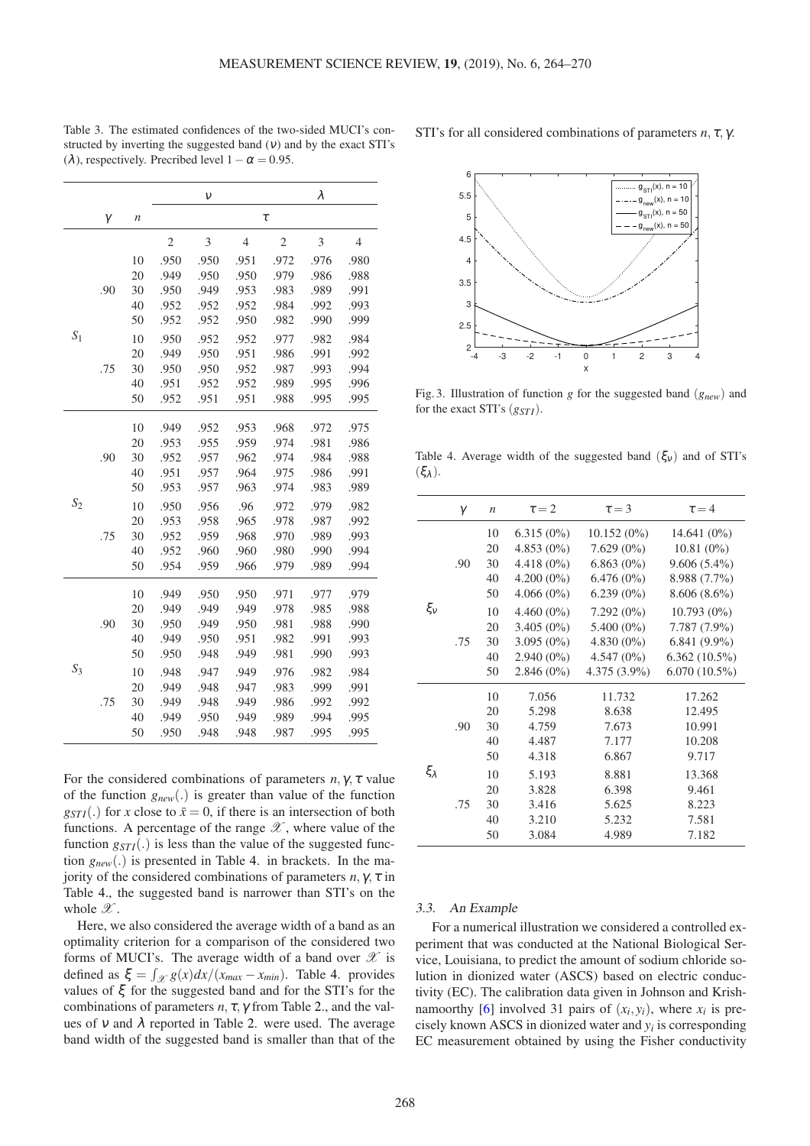|       |     |                  |                | $\mathcal V$ |                |                | λ    |                |
|-------|-----|------------------|----------------|--------------|----------------|----------------|------|----------------|
|       | γ   | $\boldsymbol{n}$ |                |              |                | $\tau$         |      |                |
|       |     |                  | $\mathfrak{2}$ | 3            | $\overline{4}$ | $\mathfrak{2}$ | 3    | $\overline{4}$ |
|       |     | 10               | .950           | .950         | .951           | .972           | .976 | .980           |
|       |     | 20               | .949           | .950         | .950           | .979           | .986 | .988           |
|       | .90 | 30               | .950           | .949         | .953           | .983           | .989 | .991           |
|       |     | 40               | .952           | .952         | .952           | .984           | .992 | .993           |
|       |     | 50               | .952           | .952         | .950           | .982           | .990 | .999           |
| $S_1$ |     | 10               | .950           | .952         | .952           | .977           | .982 | .984           |
|       |     | 20               | .949           | .950         | .951           | .986           | .991 | .992           |
|       | .75 | 30               | .950           | .950         | .952           | .987           | .993 | .994           |
|       |     | 40               | .951           | .952         | .952           | .989           | .995 | .996           |
|       |     | 50               | .952           | .951         | .951           | .988           | .995 | .995           |
|       |     | 10               | .949           | .952         | .953           | .968           | .972 | .975           |
|       |     | 20               | .953           | .955         | .959           | .974           | .981 | .986           |
|       | .90 | 30               | .952           | .957         | .962           | .974           | .984 | .988           |
|       |     | 40               | .951           | .957         | .964           | .975           | .986 | .991           |
|       |     | 50               | .953           | .957         | .963           | .974           | .983 | .989           |
| $S_2$ |     | 10               | .950           | .956         | .96            | .972           | .979 | .982           |
|       |     | 20               | .953           | .958         | .965           | .978           | .987 | .992           |
|       | .75 | 30               | .952           | .959         | .968           | .970           | .989 | .993           |
|       |     | 40               | .952           | .960         | .960           | .980           | .990 | .994           |
|       |     | 50               | .954           | .959         | .966           | .979           | .989 | .994           |
|       |     | 10               | .949           | .950         | .950           | .971           | .977 | .979           |
|       |     | 20               | .949           | .949         | .949           | .978           | .985 | .988           |
|       | .90 | 30               | .950           | .949         | .950           | .981           | .988 | .990           |
|       |     | 40               | .949           | .950         | .951           | .982           | .991 | .993           |
|       |     | 50               | .950           | .948         | .949           | .981           | .990 | .993           |
| $S_3$ |     | 10               | .948           | .947         | .949           | .976           | .982 | .984           |
|       |     | 20               | .949           | .948         | .947           | .983           | .999 | .991           |
|       | .75 | 30               | .949           | .948         | .949           | .986           | .992 | .992           |
|       |     | 40               | .949           | .950         | .949           | .989           | .994 | .995           |
|       |     | 50               | .950           | .948         | .948           | .987           | .995 | .995           |

<span id="page-4-0"></span>Table 3. The estimated confidences of the two-sided MUCI's constructed by inverting the suggested band  $(v)$  and by the exact STI's ( $\lambda$ ), respectively. Precribed level  $1-\alpha = 0.95$ .

<span id="page-4-1"></span>STI's for all considered combinations of parameters *n*, <sup>τ</sup>, γ.



Fig. 3. Illustration of function *g* for the suggested band (*gnew*) and for the exact STI's ( $g_{STI}$ ).

<span id="page-4-2"></span>Table 4. Average width of the suggested band  $(\xi_v)$  and of STI's  $(ξ<sub>λ</sub>)$ .

|                 | γ   | $\boldsymbol{n}$ | $\tau = 2$   | $\tau = 3$     | $\tau = 4$      |
|-----------------|-----|------------------|--------------|----------------|-----------------|
| $\xi_v$         | .90 | 10               | $6.315(0\%)$ | $10.152(0\%)$  | $14.641(0\%)$   |
|                 |     | 20               | $4.853(0\%)$ | $7.629(0\%)$   | $10.81(0\%)$    |
|                 |     | 30               | $4.418(0\%)$ | $6.863(0\%)$   | $9.606(5.4\%)$  |
|                 |     | 40               | $4.200(0\%)$ | $6.476(0\%)$   | 8.988 (7.7%)    |
|                 |     | 50               | $4.066(0\%)$ | $6.239(0\%)$   | $8.606(8.6\%)$  |
|                 |     | 10               | $4.460(0\%)$ | $7.292(0\%)$   | $10.793(0\%)$   |
|                 |     | 20               | $3.405(0\%)$ | $5.400(0\%)$   | $7.787(7.9\%)$  |
|                 | .75 | 30               | $3.095(0\%)$ | $4.830(0\%)$   | $6.841(9.9\%)$  |
|                 |     | 40               | $2.940(0\%)$ | $4.547(0\%)$   | $6.362(10.5\%)$ |
|                 |     | 50               | $2.846(0\%)$ | $4.375(3.9\%)$ | $6.070(10.5\%)$ |
|                 |     | 10               | 7.056        | 11.732         | 17.262          |
|                 | .90 | 20               | 5.298        | 8.638          | 12.495          |
|                 |     | 30               | 4.759        | 7.673          | 10.991          |
|                 |     | 40               | 4.487        | 7.177          | 10.208          |
| $\xi_{\lambda}$ |     | 50               | 4.318        | 6.867          | 9.717           |
|                 | .75 | 10               | 5.193        | 8.881          | 13.368          |
|                 |     | 20               | 3.828        | 6.398          | 9.461           |
|                 |     | 30               | 3.416        | 5.625          | 8.223           |
|                 |     | 40               | 3.210        | 5.232          | 7.581           |
|                 |     | 50               | 3.084        | 4.989          | 7.182           |

For the considered combinations of parameters  $n, \gamma, \tau$  value of the function *gnew*(.) is greater than value of the function  $g_{STI}$ (.) for *x* close to  $\bar{x} = 0$ , if there is an intersection of both functions. A percentage of the range  $\mathscr X$ , where value of the function  $g_{STI}$ (.) is less than the value of the suggested function *gnew*(.) is presented in Table [4.](#page-4-2) in brackets. In the majority of the considered combinations of parameters  $n, \gamma, \tau$  in Table [4.](#page-4-2), the suggested band is narrower than STI's on the whole  $\mathscr{X}$ .

Here, we also considered the average width of a band as an optimality criterion for a comparison of the considered two forms of MUCI's. The average width of a band over  $\mathscr X$  is defined as  $\xi = \int_{\mathcal{X}} g(x) dx / (x_{max} - x_{min})$ . Table [4.](#page-4-2) provides values of ξ for the suggested band and for the STI's for the combinations of parameters *n*, <sup>τ</sup>, γ from Table [2.](#page-3-0), and the values of  $v$  and  $\lambda$  reported in Table [2.](#page-3-0) were used. The average band width of the suggested band is smaller than that of the

## 3.3. An Example

For a numerical illustration we considered a controlled experiment that was conducted at the National Biological Service, Louisiana, to predict the amount of sodium chloride solution in dionized water (ASCS) based on electric conductivity (EC). The calibration data given in Johnson and Krish-namoorthy [\[6\]](#page-5-11) involved 31 pairs of  $(x_i, y_i)$ , where  $x_i$  is precisely known ASCS in dionized water and  $y_i$  is corresponding EC measurement obtained by using the Fisher conductivity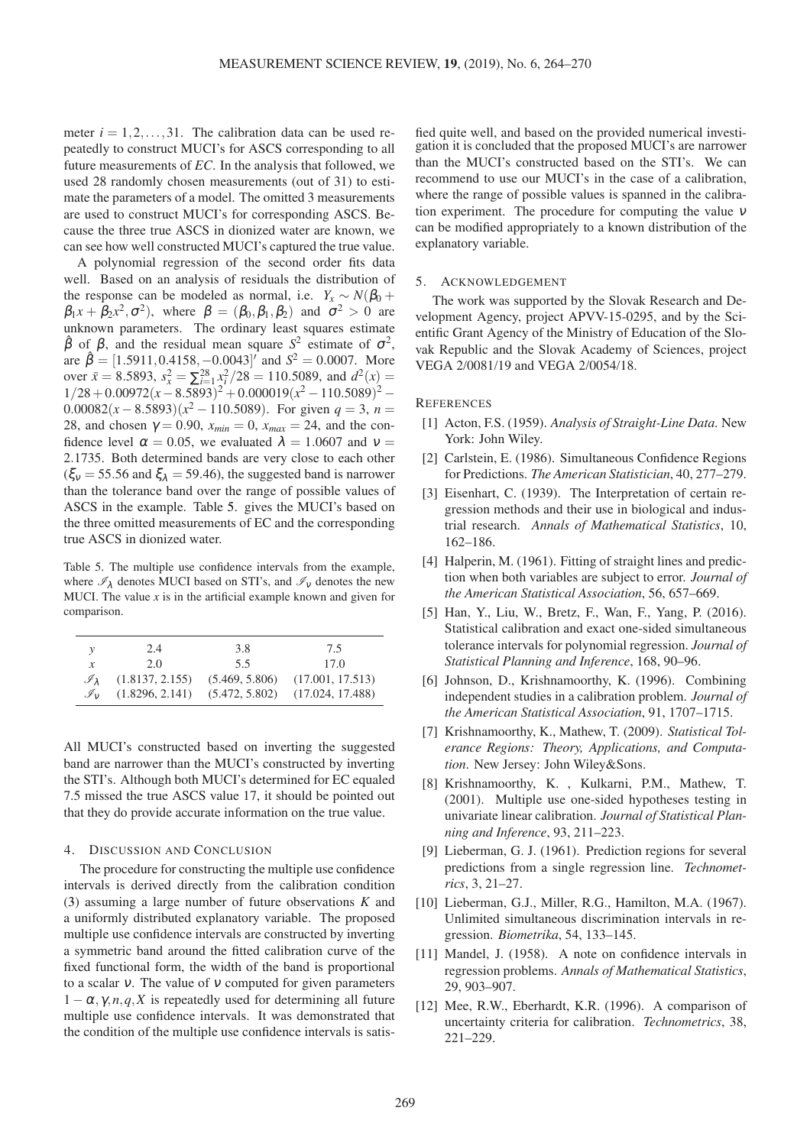meter  $i = 1, 2, \ldots, 31$ . The calibration data can be used repeatedly to construct MUCI's for ASCS corresponding to all future measurements of *EC*. In the analysis that followed, we used 28 randomly chosen measurements (out of 31) to estimate the parameters of a model. The omitted 3 measurements are used to construct MUCI's for corresponding ASCS. Because the three true ASCS in dionized water are known, we can see how well constructed MUCI's captured the true value.

A polynomial regression of the second order fits data well. Based on an analysis of residuals the distribution of the response can be modeled as normal, i.e.  $Y_x \sim N(\beta_0 +$  $\beta_1 x + \beta_2 x^2, \sigma^2$ ), where  $\beta = (\beta_0, \beta_1, \beta_2)$  and  $\sigma^2 > 0$  are unknown parameters. The ordinary least squares estimate  $\hat{\beta}$  of  $\beta$ , and the residual mean square *S*<sup>2</sup> estimate of  $\sigma$ <sup>2</sup>, are  $\hat{\beta} = [1.5911, 0.4158, -0.0043]'$  and  $S^2 = 0.0007$ . More over  $\bar{x} = 8.5893$ ,  $s_x^2 = \sum_{i=1}^{28} x_i^2 / 28 = 110.5089$ , and  $d^2(x) =$  $1/28 + 0.00972(x - 8.5893)^{2} + 0.000019(x^{2} - 110.5089)^{2} -$ 0.00082( $x - 8.5893$ )( $x^2 - 110.5089$ ). For given  $q = 3$ ,  $n =$ 28, and chosen  $\gamma = 0.90$ ,  $x_{min} = 0$ ,  $x_{max} = 24$ , and the confidence level  $\alpha = 0.05$ , we evaluated  $\lambda = 1.0607$  and  $v =$ 2.1735. Both determined bands are very close to each other  $(\xi_v = 55.56$  and  $\xi_{\lambda} = 59.46$ ), the suggested band is narrower than the tolerance band over the range of possible values of ASCS in the example. Table [5.](#page-5-12) gives the MUCI's based on the three omitted measurements of EC and the corresponding true ASCS in dionized water.

<span id="page-5-12"></span>Table 5. The multiple use confidence intervals from the example, where  $\mathcal{I}_{\lambda}$  denotes MUCI based on STI's, and  $\mathcal{I}_{\nu}$  denotes the new MUCI. The value  $x$  is in the artificial example known and given for comparison.

|                             | 2.4             | 3.8 | 7.5                                                   |
|-----------------------------|-----------------|-----|-------------------------------------------------------|
| x                           | 2.0             | 5.5 | 17 O                                                  |
| $\mathscr{I}_{\lambda}$     | (1.8137, 2.155) |     | $(5.469, 5.806)$ $(17.001, 17.513)$                   |
| $\mathscr{I}_{\mathcal{V}}$ |                 |     | $(1.8296, 2.141)$ $(5.472, 5.802)$ $(17.024, 17.488)$ |

All MUCI's constructed based on inverting the suggested band are narrower than the MUCI's constructed by inverting the STI's. Although both MUCI's determined for EC equaled 7.5 missed the true ASCS value 17, it should be pointed out that they do provide accurate information on the true value.

## 4. DISCUSSION AND CONCLUSION

The procedure for constructing the multiple use confidence intervals is derived directly from the calibration condition [\(3\)](#page-1-1) assuming a large number of future observations *K* and a uniformly distributed explanatory variable. The proposed multiple use confidence intervals are constructed by inverting a symmetric band around the fitted calibration curve of the fixed functional form, the width of the band is proportional to a scalar  $v$ . The value of  $v$  computed for given parameters  $1 - \alpha, \gamma, n, q, X$  is repeatedly used for determining all future multiple use confidence intervals. It was demonstrated that the condition of the multiple use confidence intervals is satisfied quite well, and based on the provided numerical investigation it is concluded that the proposed MUCI's are narrower than the MUCI's constructed based on the STI's. We can recommend to use our MUCI's in the case of a calibration, where the range of possible values is spanned in the calibration experiment. The procedure for computing the value <sup>ν</sup> can be modified appropriately to a known distribution of the explanatory variable.

## 5. ACKNOWLEDGEMENT

The work was supported by the Slovak Research and Development Agency, project APVV-15-0295, and by the Scientific Grant Agency of the Ministry of Education of the Slovak Republic and the Slovak Academy of Sciences, project VEGA 2/0081/19 and VEGA 2/0054/18.

## <span id="page-5-4"></span>**REFERENCES**

- [1] Acton, F.S. (1959). *Analysis of Straight-Line Data*. New York: John Wiley.
- <span id="page-5-3"></span><span id="page-5-0"></span>[2] Carlstein, E. (1986). Simultaneous Confidence Regions for Predictions. *The American Statistician*, 40, 277–279.
- [3] Eisenhart, C. (1939). The Interpretation of certain regression methods and their use in biological and industrial research. *Annals of Mathematical Statistics*, 10, 162–186.
- <span id="page-5-5"></span>[4] Halperin, M. (1961). Fitting of straight lines and prediction when both variables are subject to error. *Journal of the American Statistical Association*, 56, 657–669.
- <span id="page-5-10"></span>[5] Han, Y., Liu, W., Bretz, F., Wan, F., Yang, P. (2016). Statistical calibration and exact one-sided simultaneous tolerance intervals for polynomial regression. *Journal of Statistical Planning and Inference*, 168, 90–96.
- <span id="page-5-11"></span>[6] Johnson, D., Krishnamoorthy, K. (1996). Combining independent studies in a calibration problem. *Journal of the American Statistical Association*, 91, 1707–1715.
- <span id="page-5-7"></span>[7] Krishnamoorthy, K., Mathew, T. (2009). *Statistical Tolerance Regions: Theory, Applications, and Computation*. New Jersey: John Wiley&Sons.
- <span id="page-5-9"></span>[8] Krishnamoorthy, K. , Kulkarni, P.M., Mathew, T. (2001). Multiple use one-sided hypotheses testing in univariate linear calibration. *Journal of Statistical Planning and Inference*, 93, 211–223.
- <span id="page-5-2"></span>[9] Lieberman, G. J. (1961). Prediction regions for several predictions from a single regression line. *Technometrics*, 3, 21–27.
- <span id="page-5-6"></span>[10] Lieberman, G.J., Miller, R.G., Hamilton, M.A. (1967). Unlimited simultaneous discrimination intervals in regression. *Biometrika*, 54, 133–145.
- <span id="page-5-1"></span>[11] Mandel, J. (1958). A note on confidence intervals in regression problems. *Annals of Mathematical Statistics*, 29, 903–907.
- <span id="page-5-8"></span>[12] Mee, R.W., Eberhardt, K.R. (1996). A comparison of uncertainty criteria for calibration. *Technometrics*, 38, 221–229.